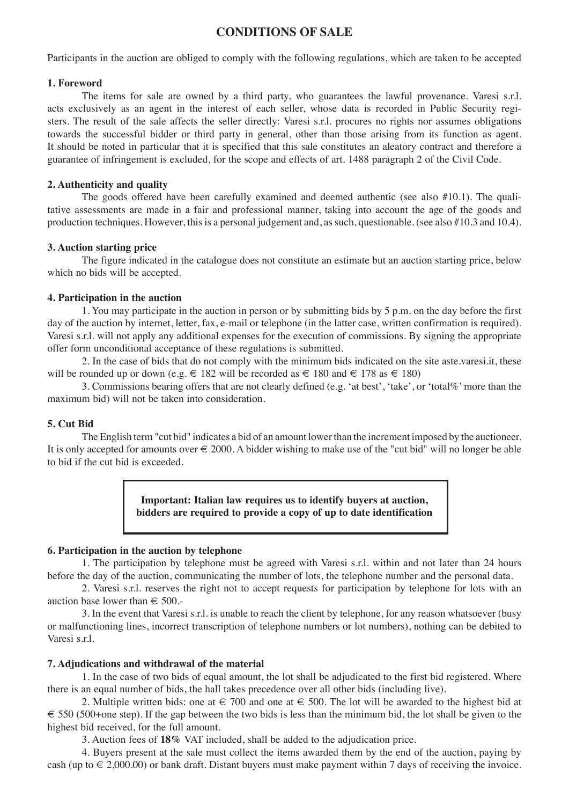# **CONDITIONS OF SALE**

Participants in the auction are obliged to comply with the following regulations, which are taken to be accepted

#### **1. Foreword**

The items for sale are owned by a third party, who guarantees the lawful provenance. Varesi s.r.l. acts exclusively as an agent in the interest of each seller, whose data is recorded in Public Security registers. The result of the sale affects the seller directly: Varesi s.r.l. procures no rights nor assumes obligations towards the successful bidder or third party in general, other than those arising from its function as agent. It should be noted in particular that it is specified that this sale constitutes an aleatory contract and therefore a guarantee of infringement is excluded, for the scope and effects of art. 1488 paragraph 2 of the Civil Code.

### **2. Authenticity and quality**

The goods offered have been carefully examined and deemed authentic (see also #10.1). The qualitative assessments are made in a fair and professional manner, taking into account the age of the goods and production techniques. However, this is a personal judgement and, as such, questionable. (see also #10.3 and 10.4).

### **3. Auction starting price**

The figure indicated in the catalogue does not constitute an estimate but an auction starting price, below which no bids will be accepted.

#### **4. Participation in the auction**

1. You may participate in the auction in person or by submitting bids by 5 p.m. on the day before the first day of the auction by internet, letter, fax, e-mail or telephone (in the latter case, written confirmation is required). Varesi s.r.l. will not apply any additional expenses for the execution of commissions. By signing the appropriate offer form unconditional acceptance of these regulations is submitted.

2. In the case of bids that do not comply with the minimum bids indicated on the site aste.varesi.it, these will be rounded up or down (e.g.  $\in$  182 will be recorded as  $\in$  180 and  $\in$  178 as  $\in$  180)

3. Commissions bearing offers that are not clearly defined (e.g. 'at best', 'take', or 'total%' more than the maximum bid) will not be taken into consideration.

### **5. Cut Bid**

The English term "cut bid" indicates a bid of an amount lower than the increment imposed by the auctioneer. It is only accepted for amounts over  $\epsilon \neq 2000$ . A bidder wishing to make use of the "cut bid" will no longer be able to bid if the cut bid is exceeded.

> **Important: Italian law requires us to identify buyers at auction, bidders are required to provide a copy of up to date identification**

### **6. Participation in the auction by telephone**

1. The participation by telephone must be agreed with Varesi s.r.l. within and not later than 24 hours before the day of the auction, communicating the number of lots, the telephone number and the personal data.

2. Varesi s.r.l. reserves the right not to accept requests for participation by telephone for lots with an auction base lower than  $\epsilon$  500.-

3. In the event that Varesi s.r.l. is unable to reach the client by telephone, for any reason whatsoever (busy or malfunctioning lines, incorrect transcription of telephone numbers or lot numbers), nothing can be debited to Varesi s.r.l.

# **7. Adjudications and withdrawal of the material**

1. In the case of two bids of equal amount, the lot shall be adjudicated to the first bid registered. Where there is an equal number of bids, the hall takes precedence over all other bids (including live).

2. Multiple written bids: one at  $\epsilon$  700 and one at  $\epsilon$  500. The lot will be awarded to the highest bid at  $\epsilon$  550 (500+one step). If the gap between the two bids is less than the minimum bid, the lot shall be given to the highest bid received, for the full amount.

3. Auction fees of **18%** VAT included, shall be added to the adjudication price.

4. Buyers present at the sale must collect the items awarded them by the end of the auction, paying by cash (up to  $\in$  2,000.00) or bank draft. Distant buyers must make payment within 7 days of receiving the invoice.